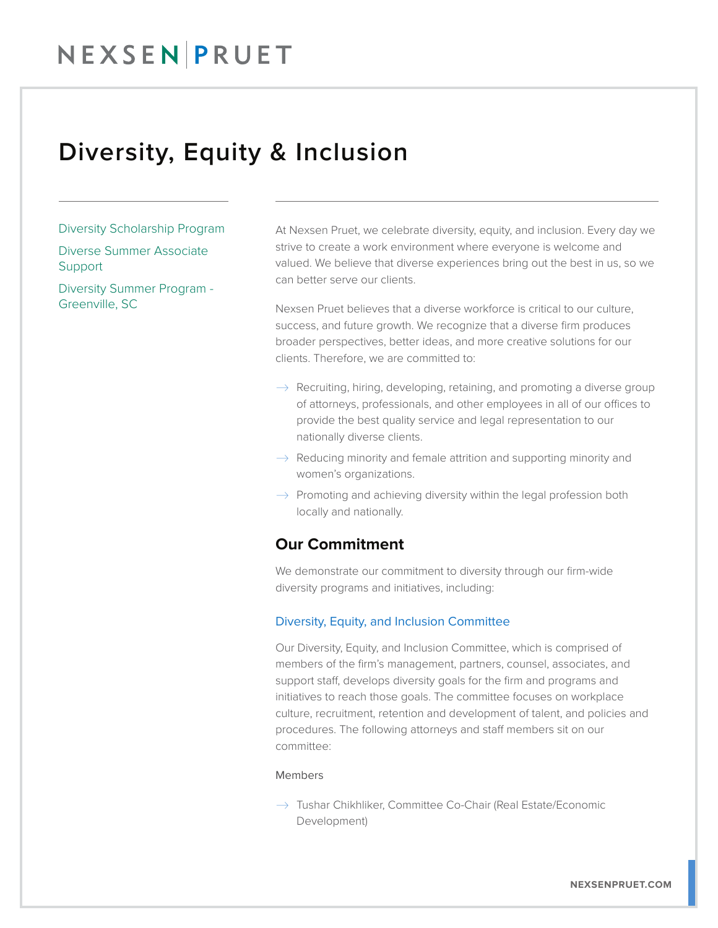## NEXSENPRUET

### Diversity, Equity & Inclusion

#### Diversity Scholarship Program

Diverse Summer Associate **Support** 

Diversity Summer Program - Greenville, SC

At Nexsen Pruet, we celebrate diversity, equity, and inclusion. Every day we strive to create a work environment where everyone is welcome and valued. We believe that diverse experiences bring out the best in us, so we can better serve our clients.

Nexsen Pruet believes that a diverse workforce is critical to our culture, success, and future growth. We recognize that a diverse firm produces broader perspectives, better ideas, and more creative solutions for our clients. Therefore, we are committed to:

- $\rightarrow$  Recruiting, hiring, developing, retaining, and promoting a diverse group of attorneys, professionals, and other employees in all of our offices to provide the best quality service and legal representation to our nationally diverse clients.
- $\rightarrow$  Reducing minority and female attrition and supporting minority and women's organizations.
- $\rightarrow$  Promoting and achieving diversity within the legal profession both locally and nationally.

### **Our Commitment**

We demonstrate our commitment to diversity through our firm-wide diversity programs and initiatives, including:

#### Diversity, Equity, and Inclusion Committee

Our Diversity, Equity, and Inclusion Committee, which is comprised of members of the firm's management, partners, counsel, associates, and support staff, develops diversity goals for the firm and programs and initiatives to reach those goals. The committee focuses on workplace culture, recruitment, retention and development of talent, and policies and procedures. The following attorneys and staff members sit on our committee:

#### Members

 $\rightarrow$  Tushar Chikhliker, Committee Co-Chair (Real Estate/Economic Development)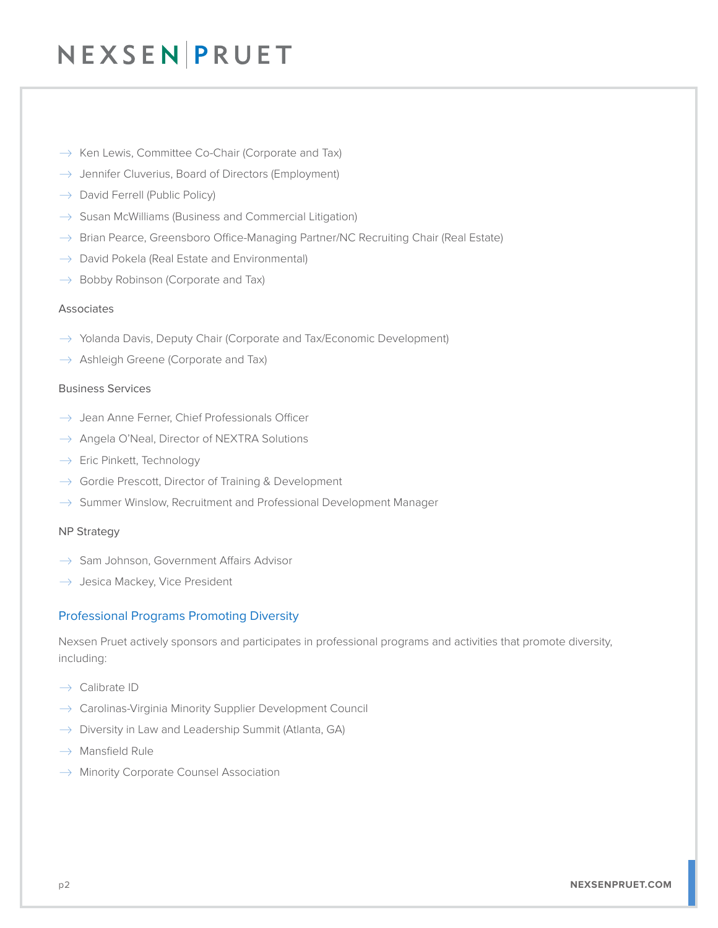# NEXSEN PRUET

- $\rightarrow$  Ken Lewis, Committee Co-Chair (Corporate and Tax)
- $\rightarrow$  Jennifer Cluverius, Board of Directors (Employment)
- $\rightarrow$  David Ferrell (Public Policy)
- $\rightarrow$  Susan McWilliams (Business and Commercial Litigation)
- $\rightarrow$  Brian Pearce, Greensboro Office-Managing Partner/NC Recruiting Chair (Real Estate)
- $\rightarrow$  David Pokela (Real Estate and Environmental)
- $\rightarrow$  Bobby Robinson (Corporate and Tax)

#### Associates

- $\rightarrow$  Yolanda Davis, Deputy Chair (Corporate and Tax/Economic Development)
- $\rightarrow$  Ashleigh Greene (Corporate and Tax)

#### Business Services

- $\rightarrow$  Jean Anne Ferner, Chief Professionals Officer
- $\rightarrow$  Angela O'Neal, Director of NEXTRA Solutions
- $\rightarrow$  Eric Pinkett, Technology
- $\rightarrow$  Gordie Prescott, Director of Training & Development
- $\rightarrow$  Summer Winslow, Recruitment and Professional Development Manager

#### NP Strategy

- $\rightarrow$  Sam Johnson, Government Affairs Advisor
- $\rightarrow$  Jesica Mackey, Vice President

#### Professional Programs Promoting Diversity

Nexsen Pruet actively sponsors and participates in professional programs and activities that promote diversity, including:

- $\rightarrow$  Calibrate ID
- $\rightarrow$  Carolinas-Virginia Minority Supplier Development Council
- $\rightarrow$  Diversity in Law and Leadership Summit (Atlanta, GA)
- $\rightarrow$  Mansfield Rule
- $\rightarrow$  Minority Corporate Counsel Association